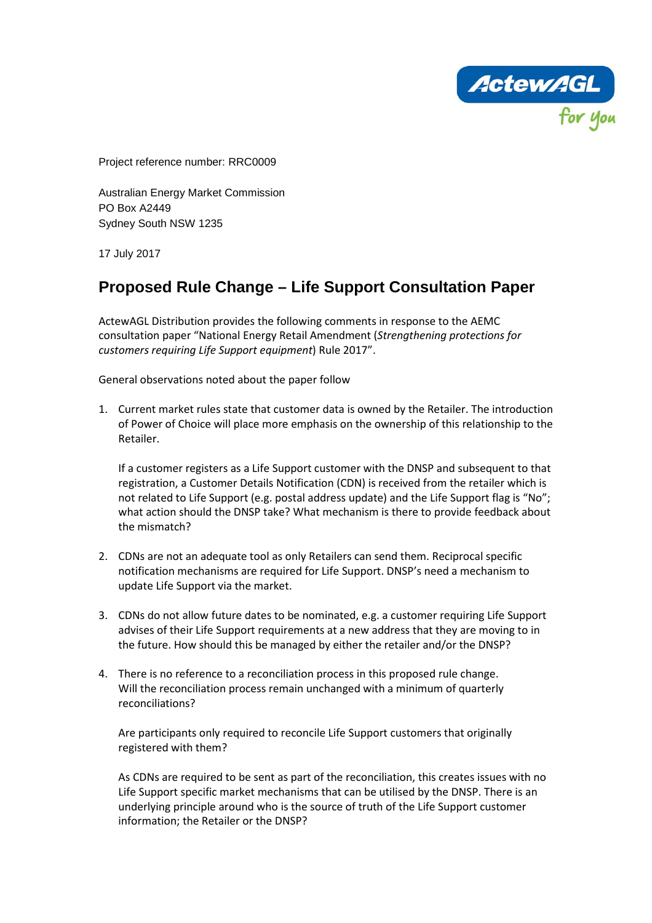ActewAGL

Project reference number: RRC0009

Australian Energy Market Commission PO Box A2449 Sydney South NSW 1235

17 July 2017

# **Proposed Rule Change – Life Support Consultation Paper**

ActewAGL Distribution provides the following comments in response to the AEMC consultation paper "National Energy Retail Amendment (*Strengthening protections for customers requiring Life Support equipment*) Rule 2017".

General observations noted about the paper follow

1. Current market rules state that customer data is owned by the Retailer. The introduction of Power of Choice will place more emphasis on the ownership of this relationship to the Retailer.

If a customer registers as a Life Support customer with the DNSP and subsequent to that registration, a Customer Details Notification (CDN) is received from the retailer which is not related to Life Support (e.g. postal address update) and the Life Support flag is "No"; what action should the DNSP take? What mechanism is there to provide feedback about the mismatch?

- 2. CDNs are not an adequate tool as only Retailers can send them. Reciprocal specific notification mechanisms are required for Life Support. DNSP's need a mechanism to update Life Support via the market.
- 3. CDNs do not allow future dates to be nominated, e.g. a customer requiring Life Support advises of their Life Support requirements at a new address that they are moving to in the future. How should this be managed by either the retailer and/or the DNSP?
- 4. There is no reference to a reconciliation process in this proposed rule change. Will the reconciliation process remain unchanged with a minimum of quarterly reconciliations?

Are participants only required to reconcile Life Support customers that originally registered with them?

As CDNs are required to be sent as part of the reconciliation, this creates issues with no Life Support specific market mechanisms that can be utilised by the DNSP. There is an underlying principle around who is the source of truth of the Life Support customer information; the Retailer or the DNSP?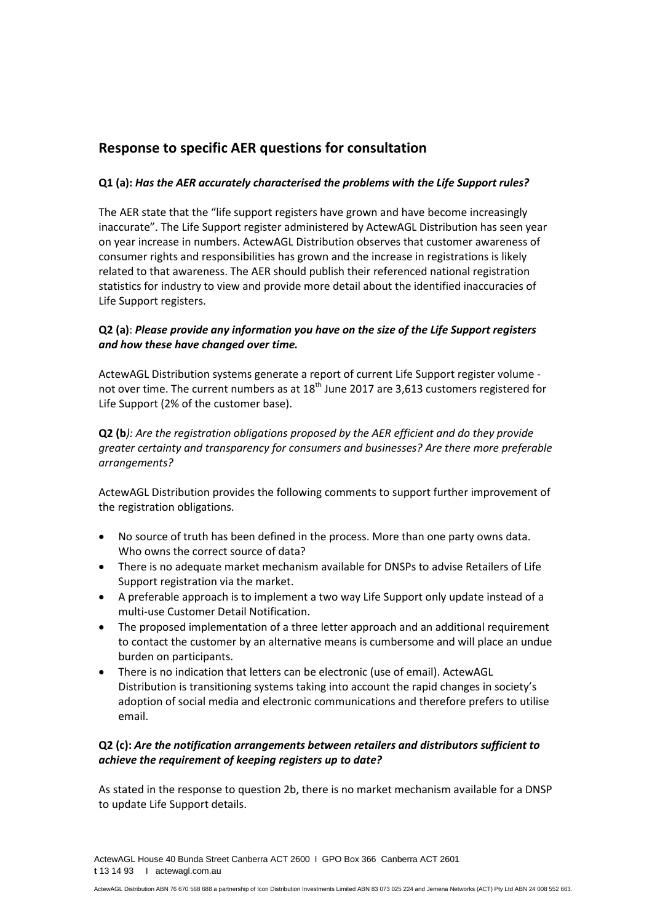# **Response to specific AER questions for consultation**

### **Q1 (a):** *Has the AER accurately characterised the problems with the Life Support rules?*

The AER state that the "life support registers have grown and have become increasingly inaccurate". The Life Support register administered by ActewAGL Distribution has seen year on year increase in numbers. ActewAGL Distribution observes that customer awareness of consumer rights and responsibilities has grown and the increase in registrations is likely related to that awareness. The AER should publish their referenced national registration statistics for industry to view and provide more detail about the identified inaccuracies of Life Support registers.

# **Q2 (a)**: *Please provide any information you have on the size of the Life Support registers and how these have changed over time.*

ActewAGL Distribution systems generate a report of current Life Support register volume not over time. The current numbers as at  $18<sup>th</sup>$  June 2017 are 3,613 customers registered for Life Support (2% of the customer base).

**Q2 (b***): Are the registration obligations proposed by the AER efficient and do they provide greater certainty and transparency for consumers and businesses? Are there more preferable arrangements?*

ActewAGL Distribution provides the following comments to support further improvement of the registration obligations.

- No source of truth has been defined in the process. More than one party owns data. Who owns the correct source of data?
- There is no adequate market mechanism available for DNSPs to advise Retailers of Life Support registration via the market.
- A preferable approach is to implement a two way Life Support only update instead of a multi-use Customer Detail Notification.
- The proposed implementation of a three letter approach and an additional requirement to contact the customer by an alternative means is cumbersome and will place an undue burden on participants.
- There is no indication that letters can be electronic (use of email). ActewAGL Distribution is transitioning systems taking into account the rapid changes in society's adoption of social media and electronic communications and therefore prefers to utilise email.

# **Q2 (c):** *Are the notification arrangements between retailers and distributors sufficient to achieve the requirement of keeping registers up to date?*

As stated in the response to question 2b, there is no market mechanism available for a DNSP to update Life Support details.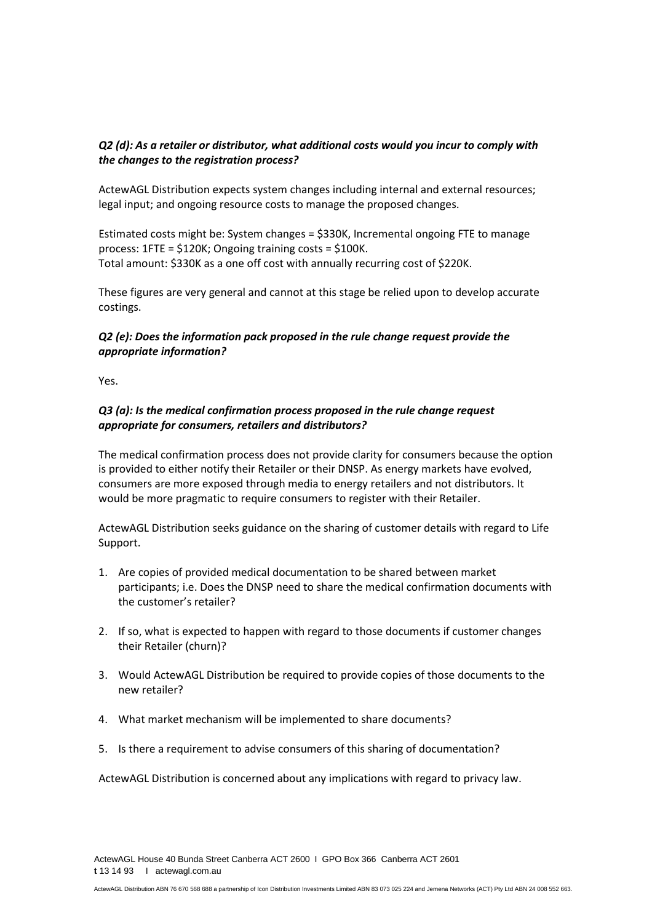# *Q2 (d): As a retailer or distributor, what additional costs would you incur to comply with the changes to the registration process?*

ActewAGL Distribution expects system changes including internal and external resources; legal input; and ongoing resource costs to manage the proposed changes.

Estimated costs might be: System changes = \$330K, Incremental ongoing FTE to manage process: 1FTE = \$120K; Ongoing training costs = \$100K. Total amount: \$330K as a one off cost with annually recurring cost of \$220K.

These figures are very general and cannot at this stage be relied upon to develop accurate costings.

#### *Q2 (e): Does the information pack proposed in the rule change request provide the appropriate information?*

Yes.

### *Q3 (a): Is the medical confirmation process proposed in the rule change request appropriate for consumers, retailers and distributors?*

The medical confirmation process does not provide clarity for consumers because the option is provided to either notify their Retailer or their DNSP. As energy markets have evolved, consumers are more exposed through media to energy retailers and not distributors. It would be more pragmatic to require consumers to register with their Retailer.

ActewAGL Distribution seeks guidance on the sharing of customer details with regard to Life Support.

- 1. Are copies of provided medical documentation to be shared between market participants; i.e. Does the DNSP need to share the medical confirmation documents with the customer's retailer?
- 2. If so, what is expected to happen with regard to those documents if customer changes their Retailer (churn)?
- 3. Would ActewAGL Distribution be required to provide copies of those documents to the new retailer?
- 4. What market mechanism will be implemented to share documents?
- 5. Is there a requirement to advise consumers of this sharing of documentation?

ActewAGL Distribution is concerned about any implications with regard to privacy law.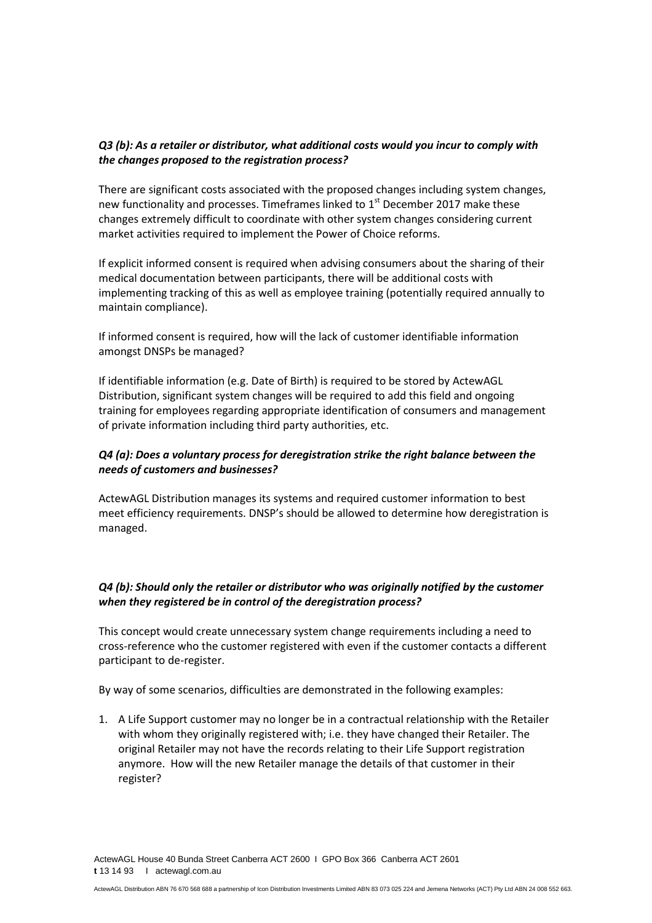### *Q3 (b): As a retailer or distributor, what additional costs would you incur to comply with the changes proposed to the registration process?*

There are significant costs associated with the proposed changes including system changes, new functionality and processes. Timeframes linked to 1<sup>st</sup> December 2017 make these changes extremely difficult to coordinate with other system changes considering current market activities required to implement the Power of Choice reforms.

If explicit informed consent is required when advising consumers about the sharing of their medical documentation between participants, there will be additional costs with implementing tracking of this as well as employee training (potentially required annually to maintain compliance).

If informed consent is required, how will the lack of customer identifiable information amongst DNSPs be managed?

If identifiable information (e.g. Date of Birth) is required to be stored by ActewAGL Distribution, significant system changes will be required to add this field and ongoing training for employees regarding appropriate identification of consumers and management of private information including third party authorities, etc.

#### *Q4 (a): Does a voluntary process for deregistration strike the right balance between the needs of customers and businesses?*

ActewAGL Distribution manages its systems and required customer information to best meet efficiency requirements. DNSP's should be allowed to determine how deregistration is managed.

# *Q4 (b): Should only the retailer or distributor who was originally notified by the customer when they registered be in control of the deregistration process?*

This concept would create unnecessary system change requirements including a need to cross-reference who the customer registered with even if the customer contacts a different participant to de-register.

By way of some scenarios, difficulties are demonstrated in the following examples:

1. A Life Support customer may no longer be in a contractual relationship with the Retailer with whom they originally registered with; i.e. they have changed their Retailer. The original Retailer may not have the records relating to their Life Support registration anymore. How will the new Retailer manage the details of that customer in their register?